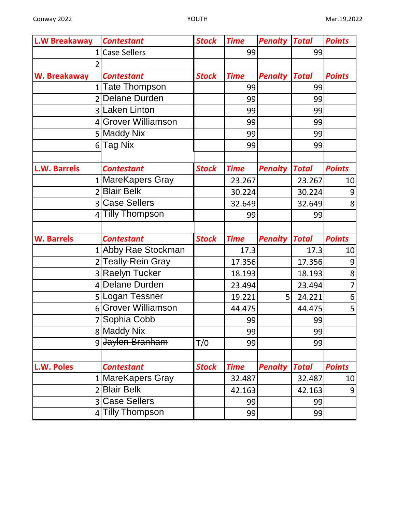| <b>L.W Breakaway</b>     | <b>Contestant</b>     | <b>Stock</b> | <b>Time</b> | <b>Penalty</b> | <b>Total</b> | <b>Points</b>  |
|--------------------------|-----------------------|--------------|-------------|----------------|--------------|----------------|
|                          | <b>Case Sellers</b>   |              | 99          |                | 99           |                |
|                          |                       |              |             |                |              |                |
| W. Breakaway             | <b>Contestant</b>     | <b>Stock</b> | <b>Time</b> | <b>Penalty</b> | <b>Total</b> | <b>Points</b>  |
| 1 <sup>1</sup>           | <b>Tate Thompson</b>  |              | 99          |                | 99           |                |
| 2                        | Delane Durden         |              | 99          |                | 99           |                |
|                          | 3 Laken Linton        |              | 99          |                | 99           |                |
|                          | 4 Grover Williamson   |              | 99          |                | 99           |                |
|                          | 5 Maddy Nix           |              | 99          |                | 99           |                |
| 6 <sup>1</sup>           | <b>Tag Nix</b>        |              | 99          |                | 99           |                |
|                          |                       |              |             |                |              |                |
| <b>L.W. Barrels</b>      | <b>Contestant</b>     | <b>Stock</b> | <b>Time</b> | <b>Penalty</b> | <b>Total</b> | <b>Points</b>  |
|                          | MareKapers Gray       |              | 23.267      |                | 23.267       | 10             |
| $\overline{\phantom{a}}$ | <b>Blair Belk</b>     |              | 30.224      |                | 30.224       | $\overline{9}$ |
|                          | 3 Case Sellers        |              | 32.649      |                | 32.649       | 8              |
|                          | <b>Tilly Thompson</b> |              | 99          |                | 99           |                |
|                          |                       |              |             |                |              |                |
| <b>W. Barrels</b>        | <b>Contestant</b>     | <b>Stock</b> | <b>Time</b> | <b>Penalty</b> | <b>Total</b> | <b>Points</b>  |
|                          | 1 Abby Rae Stockman   |              | 17.3        |                | 17.3         | 10             |
|                          | 2 Teally-Rein Gray    |              | 17.356      |                | 17.356       | 9              |
|                          | 3 Raelyn Tucker       |              | 18.193      |                | 18.193       | 8              |
| $\overline{4}$           | <b>Delane Durden</b>  |              | 23.494      |                | 23.494       | $\overline{7}$ |
|                          | 5 Logan Tessner       |              | 19.221      | 5              | 24.221       | 6              |
|                          | 6 Grover Williamson   |              | 44.475      |                | 44.475       | 5              |
|                          | 7 Sophia Cobb         |              | 99          |                | 99           |                |
|                          | 8 Maddy Nix           |              | 99          |                | 99           |                |
|                          | 9 Jaylen Branham      | T/0          | 99          |                | 99           |                |
|                          |                       |              |             |                |              |                |
| L.W. Poles               | <b>Contestant</b>     | <b>Stock</b> | <b>Time</b> | <b>Penalty</b> | <b>Total</b> | <b>Points</b>  |
|                          | MareKapers Gray       |              | 32.487      |                | 32.487       | 10             |
| $\overline{2}$           | <b>Blair Belk</b>     |              | 42.163      |                | 42.163       | 9              |
|                          | 3 Case Sellers        |              | 99          |                | 99           |                |
|                          | 4 Tilly Thompson      |              | 99          |                | 99           |                |